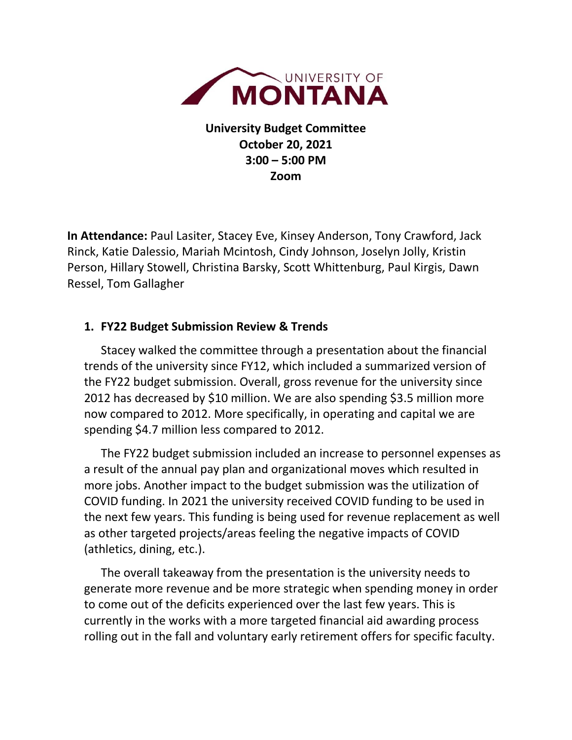

**University Budget Committee October 20, 2021 3:00 – 5:00 PM Zoom**

**In Attendance:** Paul Lasiter, Stacey Eve, Kinsey Anderson, Tony Crawford, Jack Rinck, Katie Dalessio, Mariah Mcintosh, Cindy Johnson, Joselyn Jolly, Kristin Person, Hillary Stowell, Christina Barsky, Scott Whittenburg, Paul Kirgis, Dawn Ressel, Tom Gallagher

## **1. FY22 Budget Submission Review & Trends**

Stacey walked the committee through a presentation about the financial trends of the university since FY12, which included a summarized version of the FY22 budget submission. Overall, gross revenue for the university since 2012 has decreased by \$10 million. We are also spending \$3.5 million more now compared to 2012. More specifically, in operating and capital we are spending \$4.7 million less compared to 2012.

The FY22 budget submission included an increase to personnel expenses as a result of the annual pay plan and organizational moves which resulted in more jobs. Another impact to the budget submission was the utilization of COVID funding. In 2021 the university received COVID funding to be used in the next few years. This funding is being used for revenue replacement as well as other targeted projects/areas feeling the negative impacts of COVID (athletics, dining, etc.).

The overall takeaway from the presentation is the university needs to generate more revenue and be more strategic when spending money in order to come out of the deficits experienced over the last few years. This is currently in the works with a more targeted financial aid awarding process rolling out in the fall and voluntary early retirement offers for specific faculty.